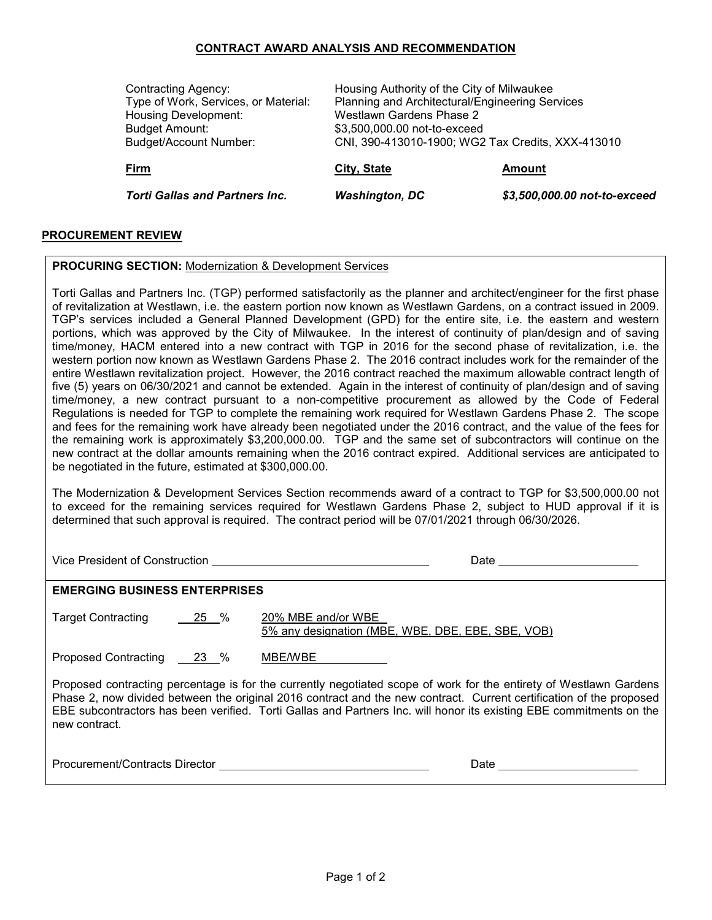## **CONTRACT AWARD ANALYSIS AND RECOMMENDATION**

| <b>Contracting Agency:</b><br>Type of Work, Services, or Material:<br><b>Housing Development:</b><br><b>Budget Amount:</b><br><b>Budget/Account Number:</b> | Housing Authority of the City of Milwaukee<br>Planning and Architectural/Engineering Services<br>Westlawn Gardens Phase 2<br>\$3,500,000.00 not-to-exceed<br>CNI, 390-413010-1900; WG2 Tax Credits, XXX-413010 |                              |
|-------------------------------------------------------------------------------------------------------------------------------------------------------------|----------------------------------------------------------------------------------------------------------------------------------------------------------------------------------------------------------------|------------------------------|
| Firm                                                                                                                                                        | City, State                                                                                                                                                                                                    | Amount                       |
| <b>Torti Gallas and Partners Inc.</b>                                                                                                                       | <b>Washington, DC</b>                                                                                                                                                                                          | \$3,500,000.00 not-to-exceed |

## **PROCUREMENT REVIEW**

## **PROCURING SECTION:** Modernization & Development Services

Torti Gallas and Partners Inc. (TGP) performed satisfactorily as the planner and architect/engineer for the first phase of revitalization at Westlawn, i.e. the eastern portion now known as Westlawn Gardens, on a contract issued in 2009. TGP's services included a General Planned Development (GPD) for the entire site, i.e. the eastern and western portions, which was approved by the City of Milwaukee. In the interest of continuity of plan/design and of saving time/money, HACM entered into a new contract with TGP in 2016 for the second phase of revitalization, i.e. the western portion now known as Westlawn Gardens Phase 2. The 2016 contract includes work for the remainder of the entire Westlawn revitalization project. However, the 2016 contract reached the maximum allowable contract length of five (5) years on 06/30/2021 and cannot be extended. Again in the interest of continuity of plan/design and of saving time/money, a new contract pursuant to a non-competitive procurement as allowed by the Code of Federal Regulations is needed for TGP to complete the remaining work required for Westlawn Gardens Phase 2. The scope and fees for the remaining work have already been negotiated under the 2016 contract, and the value of the fees for the remaining work is approximately \$3,200,000.00. TGP and the same set of subcontractors will continue on the new contract at the dollar amounts remaining when the 2016 contract expired. Additional services are anticipated to be negotiated in the future, estimated at \$300,000.00.

The Modernization & Development Services Section recommends award of a contract to TGP for \$3,500,000.00 not to exceed for the remaining services required for Westlawn Gardens Phase 2, subject to HUD approval if it is determined that such approval is required. The contract period will be 07/01/2021 through 06/30/2026.

Vice President of Construction Date

**EMERGING BUSINESS ENTERPRISES**

Target Contracting 25 % 20% MBE and/or WBE 5% any designation (MBE, WBE, DBE, EBE, SBE, VOB)

Proposed Contracting 23 % MBE/WBE

Proposed contracting percentage is for the currently negotiated scope of work for the entirety of Westlawn Gardens Phase 2, now divided between the original 2016 contract and the new contract. Current certification of the proposed EBE subcontractors has been verified. Torti Gallas and Partners Inc. will honor its existing EBE commitments on the new contract.

| Procurement/Contracts Director | Date |
|--------------------------------|------|
|                                |      |